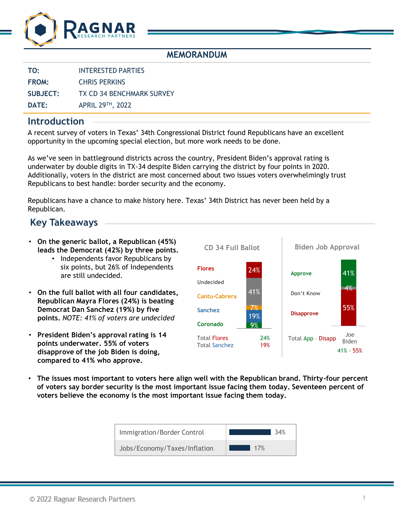

### **MEMORANDUM**

**TO:** INTERESTED PARTIES

**FROM:** CHRIS PERKINS

**SUBJECT:** TX CD 34 BENCHMARK SURVEY

**DATE:** APRIL 29TH, 2022

### **Introduction**

A recent survey of voters in Texas' 34th Congressional District found Republicans have an excellent opportunity in the upcoming special election, but more work needs to be done.

As we've seen in battleground districts across the country, President Biden's approval rating is underwater by double digits in TX-34 despite Biden carrying the district by four points in 2020. Additionally, voters in the district are most concerned about two issues voters overwhelmingly trust Republicans to best handle: border security and the economy.

Republicans have a chance to make history here. Texas' 34th District has never been held by a Republican.

# **Key Takeaways**

- **On the generic ballot, a Republican (45%) leads the Democrat (42%) by three points.**
	- Independents favor Republicans by six points, but 26% of Independents are still undecided.
- **On the full ballot with all four candidates, Republican Mayra Flores (24%) is beating Democrat Dan Sanchez (19%) by five points.** *NOTE: 41% of voters are undecided*
- **President Biden's approval rating is 14 points underwater. 55% of voters disapprove of the job Biden is doing, compared to 41% who approve.**



• **The issues most important to voters here align well with the Republican brand. Thirty-four percent of voters say border security is the most important issue facing them today. Seventeen percent of voters believe the economy is the most important issue facing them today.**

| Immigration/Border Control   | २⊿% |
|------------------------------|-----|
| Jobs/Economy/Taxes/Inflation | 17% |